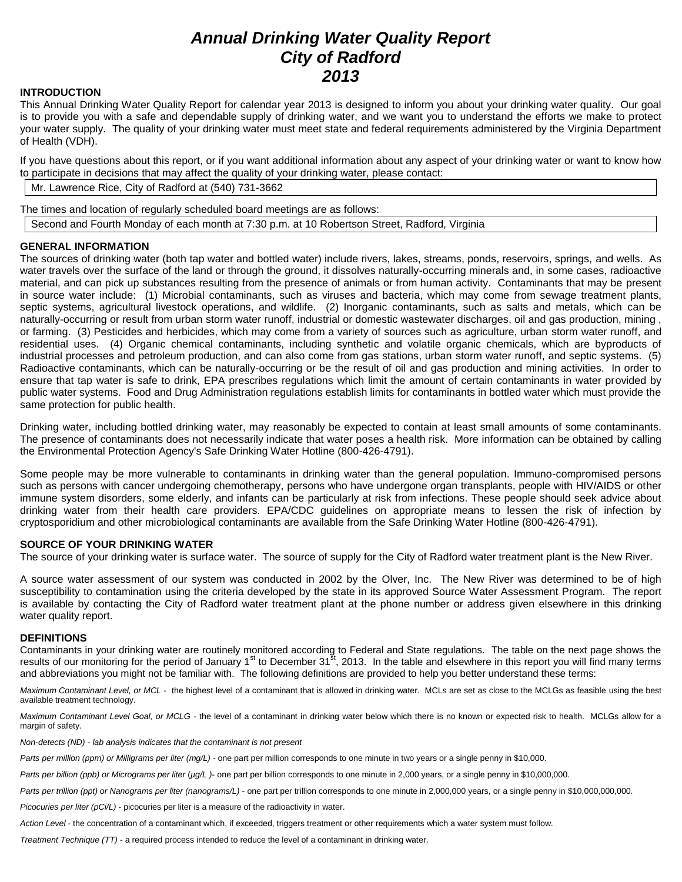# *Annual Drinking Water Quality Report City of Radford 2013*

# **INTRODUCTION**

This Annual Drinking Water Quality Report for calendar year 2013 is designed to inform you about your drinking water quality. Our goal is to provide you with a safe and dependable supply of drinking water, and we want you to understand the efforts we make to protect your water supply. The quality of your drinking water must meet state and federal requirements administered by the Virginia Department of Health (VDH).

If you have questions about this report, or if you want additional information about any aspect of your drinking water or want to know how to participate in decisions that may affect the quality of your drinking water, please contact:

Mr. Lawrence Rice, City of Radford at (540) 731-3662

The times and location of regularly scheduled board meetings are as follows:

Second and Fourth Monday of each month at 7:30 p.m. at 10 Robertson Street, Radford, Virginia

## **GENERAL INFORMATION**

The sources of drinking water (both tap water and bottled water) include rivers, lakes, streams, ponds, reservoirs, springs, and wells. As water travels over the surface of the land or through the ground, it dissolves naturally-occurring minerals and, in some cases, radioactive material, and can pick up substances resulting from the presence of animals or from human activity. Contaminants that may be present in source water include: (1) Microbial contaminants, such as viruses and bacteria, which may come from sewage treatment plants, septic systems, agricultural livestock operations, and wildlife. (2) Inorganic contaminants, such as salts and metals, which can be naturally-occurring or result from urban storm water runoff, industrial or domestic wastewater discharges, oil and gas production, mining , or farming. (3) Pesticides and herbicides, which may come from a variety of sources such as agriculture, urban storm water runoff, and residential uses. (4) Organic chemical contaminants, including synthetic and volatile organic chemicals, which are byproducts of industrial processes and petroleum production, and can also come from gas stations, urban storm water runoff, and septic systems. (5) Radioactive contaminants, which can be naturally-occurring or be the result of oil and gas production and mining activities. In order to ensure that tap water is safe to drink, EPA prescribes regulations which limit the amount of certain contaminants in water provided by public water systems. Food and Drug Administration regulations establish limits for contaminants in bottled water which must provide the same protection for public health.

Drinking water, including bottled drinking water, may reasonably be expected to contain at least small amounts of some contaminants. The presence of contaminants does not necessarily indicate that water poses a health risk. More information can be obtained by calling the Environmental Protection Agency's Safe Drinking Water Hotline (800-426-4791).

Some people may be more vulnerable to contaminants in drinking water than the general population. Immuno-compromised persons such as persons with cancer undergoing chemotherapy, persons who have undergone organ transplants, people with HIV/AIDS or other immune system disorders, some elderly, and infants can be particularly at risk from infections. These people should seek advice about drinking water from their health care providers. EPA/CDC guidelines on appropriate means to lessen the risk of infection by cryptosporidium and other microbiological contaminants are available from the Safe Drinking Water Hotline (800-426-4791).

#### **SOURCE OF YOUR DRINKING WATER**

The source of your drinking water is surface water. The source of supply for the City of Radford water treatment plant is the New River.

A source water assessment of our system was conducted in 2002 by the Olver, Inc. The New River was determined to be of high susceptibility to contamination using the criteria developed by the state in its approved Source Water Assessment Program. The report is available by contacting the City of Radford water treatment plant at the phone number or address given elsewhere in this drinking water quality report.

#### **DEFINITIONS**

Contaminants in your drinking water are routinely monitored according to Federal and State regulations. The table on the next page shows the results of our monitoring for the period of January 1<sup>st</sup> to December 31<sup>st</sup>, 2013. In the table and elsewhere in this report you will find many terms and abbreviations you might not be familiar with. The following definitions are provided to help you better understand these terms:

Maximum Contaminant Level, or MCL - the highest level of a contaminant that is allowed in drinking water. MCLs are set as close to the MCLGs as feasible using the best available treatment technology.

*Maximum Contaminant Level Goal, or MCLG -* the level of a contaminant in drinking water below which there is no known or expected risk to health. MCLGs allow for a margin of safety.

*Non-detects (ND) - lab analysis indicates that the contaminant is not present*

*Parts per million (ppm) or Milligrams per liter (mg/L)* - one part per million corresponds to one minute in two years or a single penny in \$10,000.

*Parts per billion (ppb) or Micrograms per liter* (*µg/L )*- one part per billion corresponds to one minute in 2,000 years, or a single penny in \$10,000,000.

Parts per trillion (ppt) or Nanograms per liter (nanograms/L) - one part per trillion corresponds to one minute in 2,000,000 years, or a single penny in \$10,000,000,000.

*Picocuries per liter (pCi/L)* - picocuries per liter is a measure of the radioactivity in water.

*Action Level* - the concentration of a contaminant which, if exceeded, triggers treatment or other requirements which a water system must follow.

*Treatment Technique (TT)* - a required process intended to reduce the level of a contaminant in drinking water.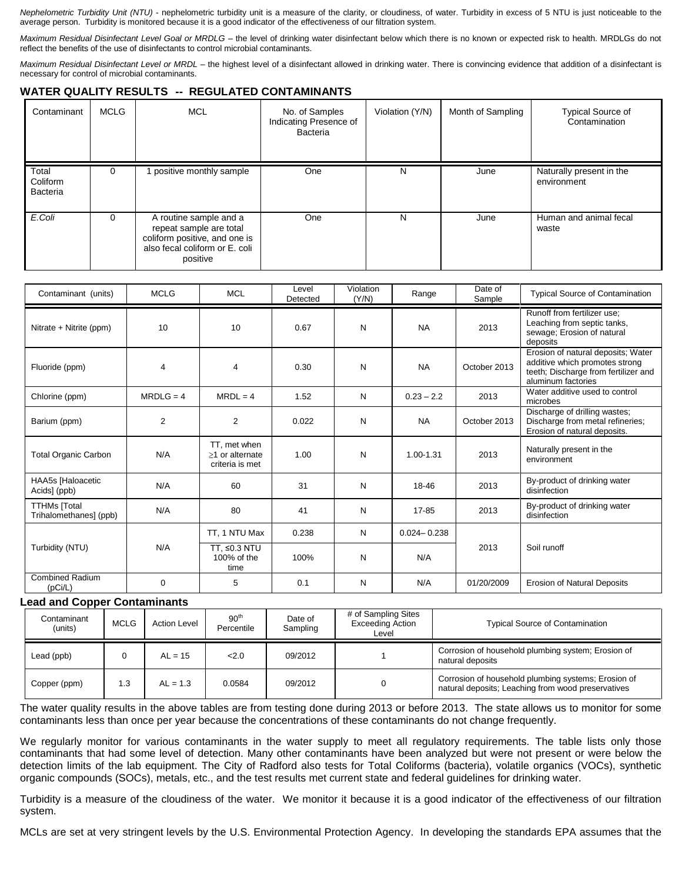*Nephelometric Turbidity Unit (NTU)* - nephelometric turbidity unit is a measure of the clarity, or cloudiness, of water. Turbidity in excess of 5 NTU is just noticeable to the average person. Turbidity is monitored because it is a good indicator of the effectiveness of our filtration system.

*Maximum Residual Disinfectant Level Goal or MRDLG –* the level of drinking water disinfectant below which there is no known or expected risk to health. MRDLGs do not reflect the benefits of the use of disinfectants to control microbial contaminants.

*Maximum Residual Disinfectant Level or MRDL –* the highest level of a disinfectant allowed in drinking water. There is convincing evidence that addition of a disinfectant is necessary for control of microbial contaminants.

# **WATER QUALITY RESULTS -- REGULATED CONTAMINANTS**

| Contaminant                   | <b>MCLG</b> | <b>MCL</b>                                                                                                                       | No. of Samples<br>Indicating Presence of<br>Bacteria | Violation (Y/N) | Month of Sampling | <b>Typical Source of</b><br>Contamination |
|-------------------------------|-------------|----------------------------------------------------------------------------------------------------------------------------------|------------------------------------------------------|-----------------|-------------------|-------------------------------------------|
| Total<br>Coliform<br>Bacteria | $\Omega$    | positive monthly sample                                                                                                          | One                                                  | N               | June              | Naturally present in the<br>environment   |
| E.Coli                        | $\Omega$    | A routine sample and a<br>repeat sample are total<br>coliform positive, and one is<br>also fecal coliform or E. coli<br>positive | One                                                  | N               | June              | Human and animal fecal<br>waste           |

| Contaminant (units)                    | <b>MCLG</b>    | <b>MCL</b>                                         | Level<br>Detected | Violation<br>(Y/N) | Range           | Date of<br>Sample | <b>Typical Source of Contamination</b>                                                                                             |
|----------------------------------------|----------------|----------------------------------------------------|-------------------|--------------------|-----------------|-------------------|------------------------------------------------------------------------------------------------------------------------------------|
| Nitrate + Nitrite (ppm)                | 10             | 10                                                 | 0.67              | N                  | <b>NA</b>       | 2013              | Runoff from fertilizer use:<br>Leaching from septic tanks,<br>sewage; Erosion of natural<br>deposits                               |
| Fluoride (ppm)                         | $\overline{4}$ | 4                                                  | 0.30              | N                  | <b>NA</b>       | October 2013      | Erosion of natural deposits; Water<br>additive which promotes strong<br>teeth; Discharge from fertilizer and<br>aluminum factories |
| Chlorine (ppm)                         | $MRDLG = 4$    | $MRDL = 4$                                         | 1.52              | N                  | $0.23 - 2.2$    | 2013              | Water additive used to control<br>microbes                                                                                         |
| Barium (ppm)                           | 2              | $\overline{2}$                                     | 0.022             | N                  | <b>NA</b>       | October 2013      | Discharge of drilling wastes;<br>Discharge from metal refineries;<br>Erosion of natural deposits.                                  |
| <b>Total Organic Carbon</b>            | N/A            | TT, met when<br>>1 or alternate<br>criteria is met | 1.00              | N                  | 1.00-1.31       | 2013              | Naturally present in the<br>environment                                                                                            |
| HAA5s [Haloacetic<br>Acids] (ppb)      | N/A            | 60                                                 | 31                | N                  | 18-46           | 2013              | By-product of drinking water<br>disinfection                                                                                       |
| TTHMs [Total<br>Trihalomethanes] (ppb) | N/A            | 80                                                 | 41                | N                  | 17-85           | 2013              | By-product of drinking water<br>disinfection                                                                                       |
|                                        |                | TT. 1 NTU Max                                      | 0.238             | N                  | $0.024 - 0.238$ |                   |                                                                                                                                    |
| Turbidity (NTU)                        | N/A            | TT, ≤0.3 NTU<br>100% of the<br>time                | 100%              | N                  | N/A             | 2013              | Soil runoff                                                                                                                        |
| <b>Combined Radium</b><br>(pCi/L)      | 0              | 5                                                  | 0.1               | N                  | N/A             | 01/20/2009        | <b>Erosion of Natural Deposits</b>                                                                                                 |

#### **Lead and Copper Contaminants**

| Contaminant<br>(units) | <b>MCLG</b> | <b>Action Level</b> | 90 <sup>th</sup><br>Percentile | Date of<br>Sampling | # of Sampling Sites<br><b>Exceeding Action</b><br>Level | <b>Typical Source of Contamination</b>                                                                    |
|------------------------|-------------|---------------------|--------------------------------|---------------------|---------------------------------------------------------|-----------------------------------------------------------------------------------------------------------|
| Lead (ppb)             |             | $AL = 15$           | 2.0                            | 09/2012             |                                                         | Corrosion of household plumbing system; Erosion of<br>natural deposits                                    |
| Copper (ppm)           | 1.3         | $AL = 1.3$          | 0.0584                         | 09/2012             |                                                         | Corrosion of household plumbing systems; Erosion of<br>natural deposits; Leaching from wood preservatives |

The water quality results in the above tables are from testing done during 2013 or before 2013. The state allows us to monitor for some contaminants less than once per year because the concentrations of these contaminants do not change frequently.

We regularly monitor for various contaminants in the water supply to meet all regulatory requirements. The table lists only those contaminants that had some level of detection. Many other contaminants have been analyzed but were not present or were below the detection limits of the lab equipment. The City of Radford also tests for Total Coliforms (bacteria), volatile organics (VOCs), synthetic organic compounds (SOCs), metals, etc., and the test results met current state and federal guidelines for drinking water.

Turbidity is a measure of the cloudiness of the water. We monitor it because it is a good indicator of the effectiveness of our filtration system.

MCLs are set at very stringent levels by the U.S. Environmental Protection Agency. In developing the standards EPA assumes that the